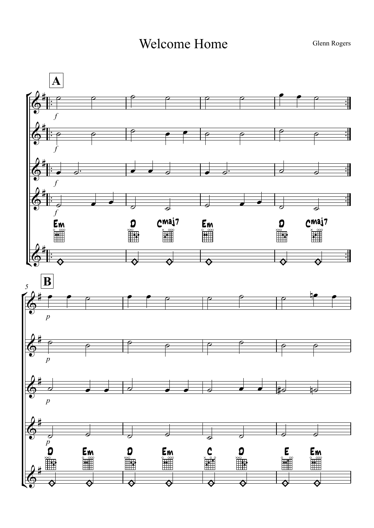Welcome Home

Glenn Rogers